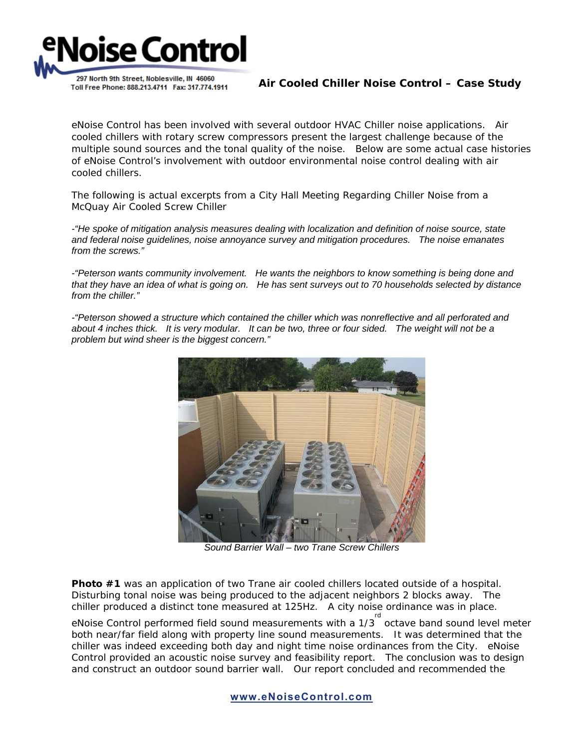

**Air Cooled Chiller Noise Control – Case Study**

eNoise Control has been involved with several outdoor HVAC Chiller noise applications. Air cooled chillers with rotary screw compressors present the largest challenge because of the multiple sound sources and the tonal quality of the noise. Below are some actual case histories of eNoise Control's involvement with outdoor environmental noise control dealing with air cooled chillers.

The following is actual excerpts from a City Hall Meeting Regarding Chiller Noise from a McQuay Air Cooled Screw Chiller

*-"He spoke of mitigation analysis measures dealing with localization and definition of noise source, state and federal noise guidelines, noise annoyance survey and mitigation procedures. The noise emanates from the screws."* 

*-"Peterson wants community involvement. He wants the neighbors to know something is being done and that they have an idea of what is going on. He has sent surveys out to 70 households selected by distance from the chiller."* 

*-"Peterson showed a structure which contained the chiller which was nonreflective and all perforated and about 4 inches thick. It is very modular. It can be two, three or four sided. The weight will not be a problem but wind sheer is the biggest concern."* 



*Sound Barrier Wall – two Trane Screw Chillers* 

**Photo #1** was an application of two Trane air cooled chillers located outside of a hospital. Disturbing tonal noise was being produced to the adjacent neighbors 2 blocks away. The chiller produced a distinct tone measured at 125Hz. A city noise ordinance was in place.

eNoise Control performed field sound measurements with a 1/3<sup>Trd</sup> octave band sound level meter both near/far field along with property line sound measurements. It was determined that the chiller was indeed exceeding both day and night time noise ordinances from the City. eNoise Control provided an acoustic noise survey and feasibility report. The conclusion was to design and construct an outdoor sound barrier wall. Our report concluded and recommended the

**www.eNoiseControl.com**